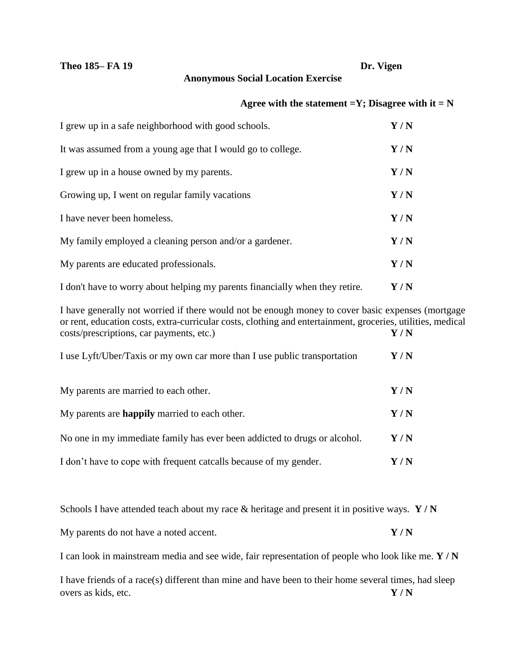## **Theo 185– FA 19 Dr. Vigen**

## **Anonymous Social Location Exercise**

## Agree with the statement  $=Y$ ; Disagree with it  $= N$

| I grew up in a safe neighborhood with good schools.                          | Y/N                         |
|------------------------------------------------------------------------------|-----------------------------|
| It was assumed from a young age that I would go to college.                  | Y/N                         |
| I grew up in a house owned by my parents.                                    | Y/N                         |
| Growing up, I went on regular family vacations                               | Y/N                         |
| I have never been homeless.                                                  | Y/N                         |
| My family employed a cleaning person and/or a gardener.                      | Y/N                         |
| My parents are educated professionals.                                       | Y/N                         |
| I don't have to worry about helping my parents financially when they retire. | $\mathbf{Y}$ / $\mathbf{N}$ |

I have generally not worried if there would not be enough money to cover basic expenses (mortgage or rent, education costs, extra-curricular costs, clothing and entertainment, groceries, utilities, medical costs/prescriptions, car payments, etc.) **Y / N**

| I use Lyft/Uber/Taxis or my own car more than I use public transportation | Y / N |
|---------------------------------------------------------------------------|-------|
| My parents are married to each other.                                     | Y/N   |
| My parents are <b>happily</b> married to each other.                      | Y/N   |
| No one in my immediate family has ever been addicted to drugs or alcohol. | Y/N   |
| I don't have to cope with frequent catcalls because of my gender.         | Y / N |

Schools I have attended teach about my race & heritage and present it in positive ways. **Y / N**

My parents do not have a noted accent. **Y / N**

I can look in mainstream media and see wide, fair representation of people who look like me. **Y / N**

I have friends of a race(s) different than mine and have been to their home several times, had sleep overs as kids, etc. **Y / N**